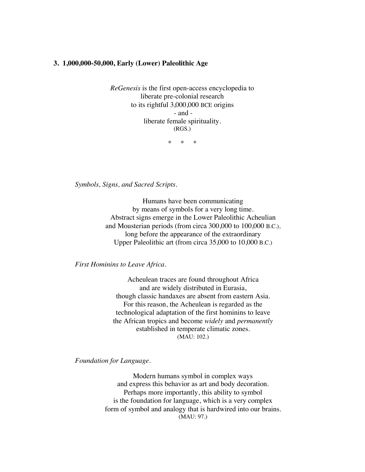## **3. 1,000,000-50,000, Early (Lower) Paleolithic Age**

*ReGenesis* is the first open-access encyclopedia to liberate pre-colonial research to its rightful 3,000,000 BCE origins - and liberate female spirituality. (RGS.)

\* \* \*

*Symbols, Signs, and Sacred Scripts.*

Humans have been communicating by means of symbols for a very long time. Abstract signs emerge in the Lower Paleolithic Acheulian and Mousterian periods (from circa 300,000 to 100,000 B.C.), long before the appearance of the extraordinary Upper Paleolithic art (from circa 35,000 to 10,000 B.C.)

*First Hominins to Leave Africa.*

Acheulean traces are found throughout Africa and are widely distributed in Eurasia, though classic handaxes are absent from eastern Asia. For this reason, the Acheulean is regarded as the technological adaptation of the first hominins to leave the African tropics and become *widely* and *permanently* established in temperate climatic zones. (MAU: 102.)

*Foundation for Language.*

Modern humans symbol in complex ways and express this behavior as art and body decoration. Perhaps more importantly, this ability to symbol is the foundation for language, which is a very complex form of symbol and analogy that is hardwired into our brains. (MAU: 97.)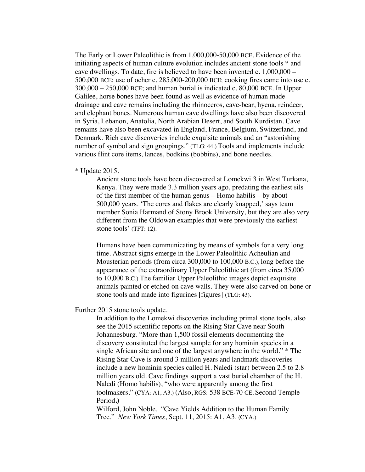The Early or Lower Paleolithic is from 1,000,000-50,000 BCE. Evidence of the initiating aspects of human culture evolution includes ancient stone tools \* and cave dwellings. To date, fire is believed to have been invented c. 1,000,000 – 500,000 BCE; use of ocher c. 285,000-200,000 BCE; cooking fires came into use c.  $300,000 - 250,000$  BCE; and human burial is indicated c.  $80,000$  BCE. In Upper Galilee, horse bones have been found as well as evidence of human made drainage and cave remains including the rhinoceros, cave-bear, hyena, reindeer, and elephant bones. Numerous human cave dwellings have also been discovered in Syria, Lebanon, Anatolia, North Arabian Desert, and South Kurdistan. Cave remains have also been excavated in England, France, Belgium, Switzerland, and Denmark. Rich cave discoveries include exquisite animals and an "astonishing number of symbol and sign groupings." (TLG: 44.) Tools and implements include various flint core items, lances, bodkins (bobbins), and bone needles.

## \* Update 2015.

Ancient stone tools have been discovered at Lomekwi 3 in West Turkana, Kenya. They were made 3.3 million years ago, predating the earliest sils of the first member of the human genus – Homo habilis – by about 500,000 years. 'The cores and flakes are clearly knapped,' says team member Sonia Harmand of Stony Brook University, but they are also very different from the Oldowan examples that were previously the earliest stone tools' (TFT: 12).

Humans have been communicating by means of symbols for a very long time. Abstract signs emerge in the Lower Paleolithic Acheulian and Mousterian periods (from circa 300,000 to 100,000 B.C.), long before the appearance of the extraordinary Upper Paleolithic art (from circa 35,000 to 10,000 B.C.) The familiar Upper Paleolithic images depict exquisite animals painted or etched on cave walls. They were also carved on bone or stone tools and made into figurines [figures] (TLG: 43).

## Further 2015 stone tools update.

In addition to the Lomekwi discoveries including primal stone tools, also see the 2015 scientific reports on the Rising Star Cave near South Johannesburg. "More than 1,500 fossil elements documenting the discovery constituted the largest sample for any hominin species in a single African site and one of the largest anywhere in the world." \* The Rising Star Cave is around 3 million years and landmark discoveries include a new hominin species called H. Naledi (star) between 2.5 to 2.8 million years old. Cave findings support a vast burial chamber of the H. Naledi (Homo habilis), "who were apparently among the first toolmakers." (CYA: A1, A3.) (Also, RGS: 538 BCE-70 CE, Second Temple Period**.)**

Wilford, John Noble. "Cave Yields Addition to the Human Family Tree." *New York Times*, Sept. 11, 2015: A1, A3. (CYA.)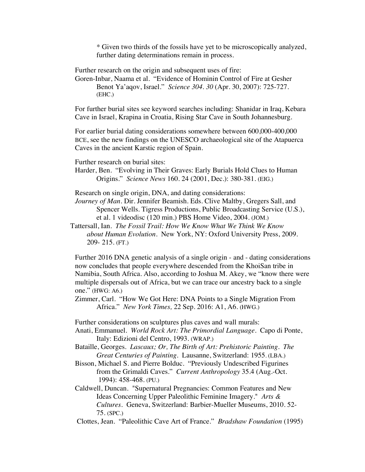*\** Given two thirds of the fossils have yet to be microscopically analyzed, further dating determinations remain in process.

Further research on the origin and subsequent uses of fire:

Goren-Inbar, Naama et al. "Evidence of Hominin Control of Fire at Gesher Benot Ya'aqov, Israel." *Science 304. 30* (Apr. 30, 2007): 725-727. (EHC.)

For further burial sites see keyword searches including: Shanidar in Iraq, Kebara Cave in Israel, Krapina in Croatia, Rising Star Cave in South Johannesburg.

For earlier burial dating considerations somewhere between 600,000-400,000 BCE, see the new findings on the UNESCO archaeological site of the Atapuerca Caves in the ancient Karstic region of Spain.

Further research on burial sites:

Harder, Ben. "Evolving in Their Graves: Early Burials Hold Clues to Human Origins." *Science News* 160. 24 (2001, Dec.): 380-381. (EIG.)

Research on single origin, DNA, and dating considerations:

*Journey of Man.* Dir. Jennifer Beamish. Eds. Clive Maltby, Gregers Sall, and Spencer Wells. Tigress Productions, Public Broadcasting Service (U.S.), et al. 1 videodisc (120 min.) PBS Home Video, 2004. (JOM.)

Tattersall, Ian. *The Fossil Trail: How We Know What We Think We Know about Human Evolution.* New York, NY: Oxford University Press, 2009. 209- 215. (FT.)

Further 2016 DNA genetic analysis of a single origin - and - dating considerations now concludes that people everywhere descended from the KhoiSan tribe in Namibia, South Africa. Also, according to Joshua M. Akey, we "know there were multiple dispersals out of Africa, but we can trace our ancestry back to a single one." (HWG: A6.)

Zimmer, Carl. "How We Got Here: DNA Points to a Single Migration From Africa." *New York Times,* 22 Sep. 2016: A1, A6. (HWG.)

Further considerations on sculptures plus caves and wall murals:

Anati, Emmanuel. *World Rock Art: The Primordial Language*. Capo di Ponte, Italy: Edizioni del Centro, 1993. (WRAP.)

Bataille, Georges. *Lascaux; Or, The Birth of Art: Prehistoric Painting. The Great Centuries of Painting.* Lausanne, Switzerland: 1955. (LBA.)

Bisson, Michael S. and Pierre Bolduc. "Previously Undescribed Figurines from the Grimaldi Caves." *Current Anthropology* 35.4 (Aug.-Oct. 1994): 458-468. (PU.)

Caldwell, Duncan. "Supernatural Pregnancies: Common Features and New Ideas Concerning Upper Paleolithic Feminine Imagery." *Arts & Cultures.* Geneva, Switzerland: Barbier-Mueller Museums, 2010. 52- 75. (SPC.)

Clottes, Jean. "Paleolithic Cave Art of France." *Bradshaw Foundation* (1995)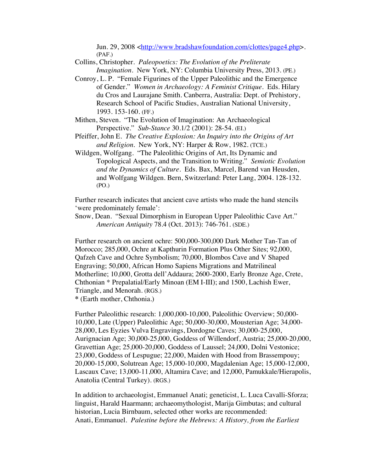Jun. 29, 2008 <http://www.bradshawfoundation.com/clottes/page4.php>. (PAF.)

Collins, Christopher. *Paleopoetics: The Evolution of the Preliterate Imagination*. New York, NY: Columbia University Press, 2013. (PE.)

- Conroy, L. P. "Female Figurines of the Upper Paleolithic and the Emergence of Gender." *Women in Archaeology: A Feminist Critique*. Eds. Hilary du Cros and Laurajane Smith. Canberra, Australia: Dept. of Prehistory, Research School of Pacific Studies, Australian National University, 1993. 153-160. (FF.)
- Mithen, Steven. "The Evolution of Imagination: An Archaeological Perspective." *Sub-Stance* 30.1/2 (2001): 28-54. (EI.)

Pfeiffer, John E. *The Creative Explosion: An Inquiry into the Origins of Art and Religion.* New York, NY: Harper & Row, 1982. (TCE.)

Wildgen, Wolfgang. "The Paleolithic Origins of Art, Its Dynamic and Topological Aspects, and the Transition to Writing." *Semiotic Evolution and the Dynamics of Culture.* Eds. Bax, Marcel, Barend van Heusden, and Wolfgang Wildgen. Bern, Switzerland: Peter Lang, 2004. 128-132. (PO.)

Further research indicates that ancient cave artists who made the hand stencils 'were predominately female':

Snow, Dean. "Sexual Dimorphism in European Upper Paleolithic Cave Art." *American Antiquity* 78.4 (Oct. 2013): 746-761. (SDE.)

Further research on ancient ochre: 500,000-300,000 Dark Mother Tan-Tan of Morocco; 285,000, Ochre at Kapthurin Formation Plus Other Sites; 92,000, Qafzeh Cave and Ochre Symbolism; 70,000, Blombos Cave and V Shaped Engraving; 50,000, African Homo Sapiens Migrations and Matrilineal Motherline; 10,000, Grotta dell'Addaura; 2600-2000, Early Bronze Age, Crete, Chthonian \* Prepalatial/Early Minoan (EM I-III); and 1500, Lachish Ewer, Triangle, and Menorah. (RGS.)

**\*** (Earth mother, Chthonia.)

Further Paleolithic research: 1,000,000-10,000, Paleolithic Overview; 50,000- 10,000, Late (Upper) Paleolithic Age; 50,000-30,000, Mousterian Age; 34,000- 28,000, Les Eyzies Vulva Engravings, Dordogne Caves; 30,000-25,000, Aurignacian Age; 30,000-25,000, Goddess of Willendorf, Austria; 25,000-20,000, Gravettian Age; 25,000-20,000, Goddess of Laussel; 24,000, Dolni Vestonice; 23,000, Goddess of Lespugue; 22,000, Maiden with Hood from Brassempouy; 20,000-15,000, Solutrean Age; 15,000-10,000, Magdalenian Age; 15,000-12,000, Lascaux Cave; 13,000-11,000, Altamira Cave; and 12,000, Pamukkale/Hierapolis, Anatolia (Central Turkey). (RGS.)

In addition to archaeologist, Emmanuel Anati; geneticist, L. Luca Cavalli-Sforza; linguist, Harald Haarmann; archaeomythologist, Marija Gimbutas; and cultural historian, Lucia Birnbaum, selected other works are recommended: Anati, Emmanuel. *Palestine before the Hebrews: A History, from the Earliest*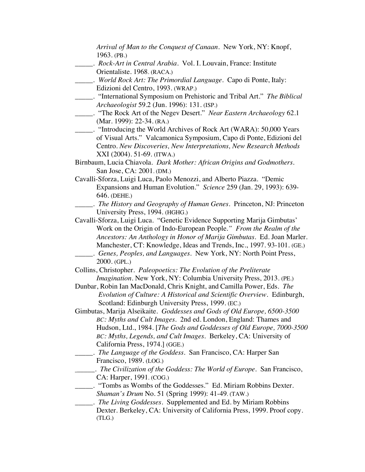*Arrival of Man to the Conquest of Canaan*. New York, NY: Knopf, 1963. (PB.) \_\_\_\_\_. *Rock-Art in Central Arabia*. Vol. I. Louvain, France: Institute Orientaliste. 1968. (RACA.) \_\_\_\_\_. *World Rock Art: The Primordial Language*. Capo di Ponte, Italy: Edizioni del Centro, 1993. (WRAP.) \_\_\_\_\_. "International Symposium on Prehistoric and Tribal Art." *The Biblical Archaeologist* 59.2 (Jun. 1996): 131. (ISP.) \_\_\_\_\_. "The Rock Art of the Negev Desert." *Near Eastern Archaeology* 62.1 (Mar. 1999): 22-34. (RA.) \_\_\_\_\_. "Introducing the World Archives of Rock Art (WARA): 50,000 Years of Visual Arts." Valcamonica Symposium, Capo di Ponte, Edizioni del Centro. *New Discoveries, New Interpretations, New Research Methods* XXI (2004). 51-69. (ITWA.) Birnbaum, Lucia Chiavola. *Dark Mother: African Origins and Godmothers*. San Jose, CA: 2001. (DM.) Cavalli-Sforza, Luigi Luca, Paolo Menozzi, and Alberto Piazza. "Demic Expansions and Human Evolution." *Science* 259 (Jan. 29, 1993): 639- 646. (DEHE.) \_\_\_\_\_. *The History and Geography of Human Genes*. Princeton, NJ: Princeton University Press, 1994. (HGHG.) Cavalli-Sforza, Luigi Luca. "Genetic Evidence Supporting Marija Gimbutas' Work on the Origin of Indo-European People*." From the Realm of the Ancestors: An Anthology in Honor of Marija Gimbutas*. Ed. Joan Marler. Manchester, CT: Knowledge, Ideas and Trends, Inc., 1997. 93-101. (GE.) \_\_\_\_\_. *Genes, Peoples, and Languages.* New York, NY: North Point Press, 2000. (GPL.) Collins, Christopher. *Paleopoetics: The Evolution of the Preliterate Imagination*. New York, NY: Columbia University Press, 2013. (PE.) Dunbar, Robin Ian MacDonald, Chris Knight, and Camilla Power, Eds. *The Evolution of Culture: A Historical and Scientific Overview.* Edinburgh, Scotland: Edinburgh University Press, 1999. (EC.) Gimbutas, Marija Alseikaite. *Goddesses and Gods of Old Europe, 6500-3500 BC: Myths and Cult Images*. 2nd ed. London, England: Thames and Hudson, Ltd., 1984. [*The Gods and Goddesses of Old Europe, 7000-3500 BC: Myths, Legends, and Cult Images.* Berkeley, CA: University of California Press, 1974.] (GGE.) \_\_\_\_\_. *The Language of the Goddess*. San Francisco, CA: Harper San Francisco, 1989. (LOG.) \_\_\_\_\_. *The Civilization of the Goddess: The World of Europe*. San Francisco, CA: Harper, 1991. (COG.) \_\_\_\_\_. "Tombs as Wombs of the Goddesses." Ed. Miriam Robbins Dexter. *Shaman's Drum* No. 51 (Spring 1999): 41-49. (TAW.) \_\_\_\_\_. *The Living Goddesses*. Supplemented and Ed. by Miriam Robbins Dexter. Berkeley, CA: University of California Press, 1999. Proof copy. (TLG.)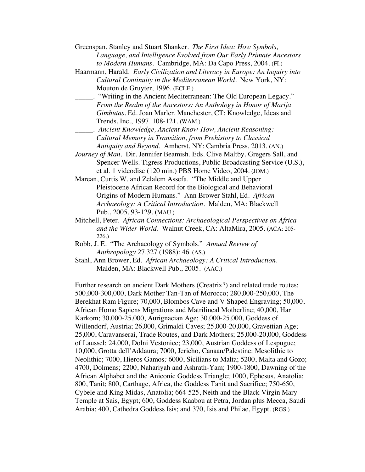- Greenspan, Stanley and Stuart Shanker. *The First Idea: How Symbols, Language, and Intelligence Evolved from Our Early Primate Ancestors to Modern Humans*. Cambridge, MA: Da Capo Press, 2004. (FI.)
- Haarmann, Harald. *Early Civilization and Literacy in Europe: An Inquiry into Cultural Continuity in the Mediterranean World*. New York, NY: Mouton de Gruyter, 1996. (ECLE.)
- \_\_\_\_\_. "Writing in the Ancient Mediterranean: The Old European Legacy." *From the Realm of the Ancestors: An Anthology in Honor of Marija Gimbutas*. Ed. Joan Marler. Manchester, CT: Knowledge, Ideas and Trends, Inc., 1997. 108-121. (WAM.)
- \_\_\_\_\_. *Ancient Knowledge, Ancient Know-How, Ancient Reasoning: Cultural Memory in Transition, from Prehistory to Classical Antiquity and Beyond*. Amherst, NY: Cambria Press, 2013. (AN.)
- *Journey of Man.* Dir. Jennifer Beamish. Eds. Clive Maltby, Gregers Sall, and Spencer Wells. Tigress Productions, Public Broadcasting Service (U.S.), et al. 1 videodisc (120 min.) PBS Home Video, 2004. (JOM.)
- Marean, Curtis W. and Zelalem Assefa. "The Middle and Upper Pleistocene African Record for the Biological and Behavioral Origins of Modern Humans." Ann Brower Stahl, Ed. *African Archaeology: A Critical Introduction*. Malden, MA: Blackwell Pub., 2005. 93-129. (MAU.)
- Mitchell, Peter. *African Connections: Archaeological Perspectives on Africa and the Wider World.* Walnut Creek, CA: AltaMira, 2005. (ACA: 205- 226.)
- Robb, J. E. "The Archaeology of Symbols." *Annual Review of Anthropology* 27.327 (1988): 46. (AS.)
- Stahl, Ann Brower, Ed. *African Archaeology: A Critical Introduction*. Malden, MA: Blackwell Pub., 2005. (AAC.)

Further research on ancient Dark Mothers (Creatrix?) and related trade routes: 500,000-300,000, Dark Mother Tan-Tan of Morocco; 280,000-250,000, The Berekhat Ram Figure; 70,000, Blombos Cave and V Shaped Engraving; 50,000, African Homo Sapiens Migrations and Matrilineal Motherline; 40,000, Har Karkom; 30,000-25,000, Aurignacian Age; 30,000-25,000, Goddess of Willendorf, Austria; 26,000, Grimaldi Caves; 25,000-20,000, Gravettian Age; 25,000, Caravanserai, Trade Routes, and Dark Mothers; 25,000-20,000, Goddess of Laussel; 24,000, Dolni Vestonice; 23,000, Austrian Goddess of Lespugue; 10,000, Grotta dell'Addaura; 7000, Jericho, Canaan/Palestine: Mesolithic to Neolithic; 7000, Hieros Gamos*;* 6000, Sicilians to Malta; 5200, Malta and Gozo; 4700, Dolmens; 2200, Nahariyah and Ashrath-Yam; 1900-1800, Dawning of the African Alphabet and the Aniconic Goddess Triangle; 1000, Ephesus, Anatolia; 800, Tanit; 800, Carthage, Africa, the Goddess Tanit and Sacrifice; 750-650, Cybele and King Midas, Anatolia; 664-525, Neith and the Black Virgin Mary Temple at Sais, Egypt; 600, Goddess Kaabou at Petra, Jordan plus Mecca, Saudi Arabia; 400, Cathedra Goddess Isis; and 370, Isis and Philae, Egypt. (RGS.)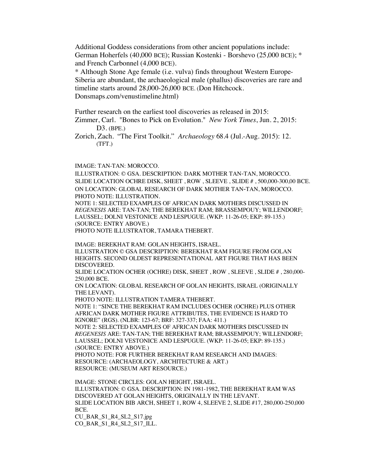Additional Goddess considerations from other ancient populations include: German Hoherfels (40,000 BCE); Russian Kostenki - Borshevo (25,000 BCE); \* and French Carbonnel (4,000 BCE).

\* Although Stone Age female (i.e. vulva) finds throughout Western Europe-Siberia are abundant, the archaeological male (phallus) discoveries are rare and timeline starts around 28,000-26,000 BCE. (Don Hitchcock. Donsmaps.com/venustimeline.html)

Further research on the earliest tool discoveries as released in 2015:

Zimmer, Carl. "Bones to Pick on Evolution." *New York Times*, Jun. 2, 2015: D3. (BPE.)

Zorich, Zach. "The First Toolkit." *Archaeology* 68.4 (Jul.-Aug. 2015): 12. (TFT.)

IMAGE: TAN-TAN: MOROCCO.

ILLUSTRATION: © GSA. DESCRIPTION: DARK MOTHER TAN-TAN, MOROCCO. SLIDE LOCATION OCHRE DISK, SHEET , ROW , SLEEVE , SLIDE # , 500,000-300,00 BCE. ON LOCATION: GLOBAL RESEARCH OF DARK MOTHER TAN-TAN, MOROCCO. PHOTO NOTE: ILLUSTRATION.

NOTE 1: SELECTED EXAMPLES OF AFRICAN DARK MOTHERS DISCUSSED IN *REGENESIS* ARE: TAN-TAN; THE BEREKHAT RAM; BRASSEMPOUY; WILLENDORF; LAUSSEL; DOLNI VESTONICE AND LESPUGUE. (WKP: 11-26-05; EKP: 89-135.) (SOURCE: ENTRY ABOVE.)

PHOTO NOTE ILLUSTRATOR, TAMARA THEBERT.

IMAGE: BEREKHAT RAM: GOLAN HEIGHTS, ISRAEL. ILLUSTRATION © GSA DESCRIPTION: BEREKHAT RAM FIGURE FROM GOLAN HEIGHTS. SECOND OLDEST REPRESENTATIONAL ART FIGURE THAT HAS BEEN DISCOVERED.

SLIDE LOCATION OCHER (OCHRE) DISK, SHEET , ROW , SLEEVE , SLIDE # , 280,000- 250,000 BCE.

ON LOCATION: GLOBAL RESEARCH OF GOLAN HEIGHTS, ISRAEL (ORIGINALLY THE LEVANT).

PHOTO NOTE: ILLUSTRATION TAMERA THEBERT.

NOTE 1: "SINCE THE BEREKHAT RAM INCLUDES OCHER (OCHRE) PLUS OTHER AFRICAN DARK MOTHER FIGURE ATTRIBUTES, THE EVIDENCE IS HARD TO IGNORE" (RGS). (NLBR: 123-67; BRF: 327-337; FAA: 411.)

NOTE 2: SELECTED EXAMPLES OF AFRICAN DARK MOTHERS DISCUSSED IN *REGENESIS* ARE: TAN-TAN; THE BEREKHAT RAM; BRASSEMPOUY; WILLENDORF; LAUSSEL; DOLNI VESTONICE AND LESPUGUE. (WKP: 11-26-05; EKP: 89-135.) (SOURCE: ENTRY ABOVE.)

PHOTO NOTE: FOR FURTHER BEREKHAT RAM RESEARCH AND IMAGES: RESOURCE: (ARCHAEOLOGY, ARCHITECTURE & ART.) RESOURCE: (MUSEUM ART RESOURCE.)

IMAGE: STONE CIRCLES: GOLAN HEIGHT, ISRAEL. ILLUSTRATION: © GSA. DESCRIPTION: IN 1981-1982, THE BEREKHAT RAM WAS DISCOVERED AT GOLAN HEIGHTS, ORIGINALLY IN THE LEVANT. SLIDE LOCATION BIB ARCH, SHEET 1, ROW 4, SLEEVE 2, SLIDE #17, 280,000-250,000 BCE. CU\_BAR\_S1\_R4\_SL2\_S17.jpg

CO\_BAR\_S1\_R4\_SL2\_S17\_ILL.